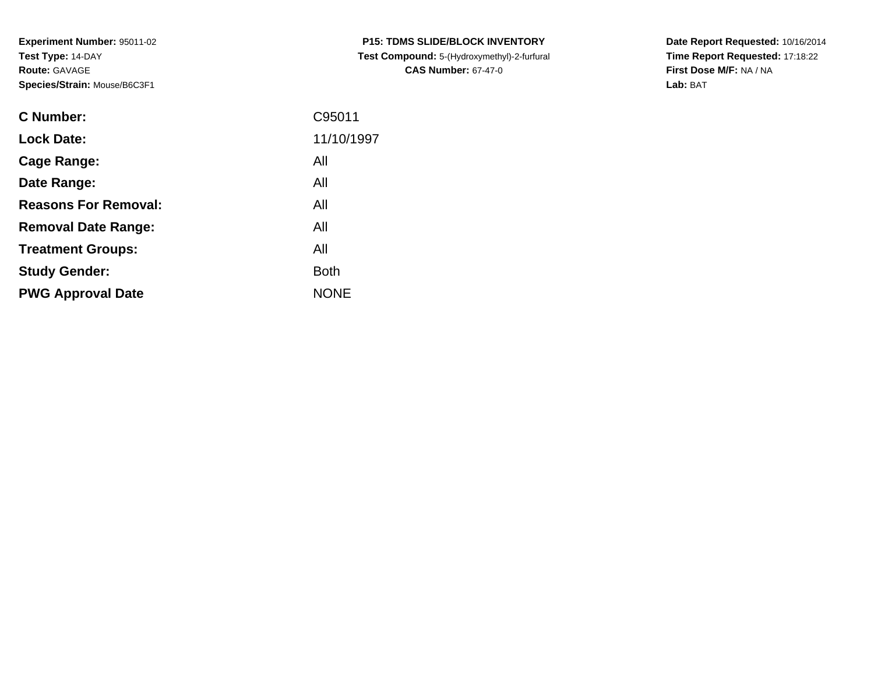**Experiment Number:** 95011-02**Test Type:** 14-DAY**Route:** GAVAGE**Species/Strain:** Mouse/B6C3F1

| <b>C Number:</b>            | C95011      |
|-----------------------------|-------------|
| <b>Lock Date:</b>           | 11/10/1997  |
| <b>Cage Range:</b>          | All         |
| Date Range:                 | All         |
| <b>Reasons For Removal:</b> | All         |
| <b>Removal Date Range:</b>  | All         |
| <b>Treatment Groups:</b>    | All         |
| <b>Study Gender:</b>        | <b>Both</b> |
| <b>PWG Approval Date</b>    | <b>NONE</b> |
|                             |             |

**P15: TDMS SLIDE/BLOCK INVENTORY Test Compound:** 5-(Hydroxymethyl)-2-furfural **CAS Number:** 67-47-0

**Date Report Requested:** 10/16/2014 **Time Report Requested:** 17:18:22**First Dose M/F:** NA / NA**Lab:** BAT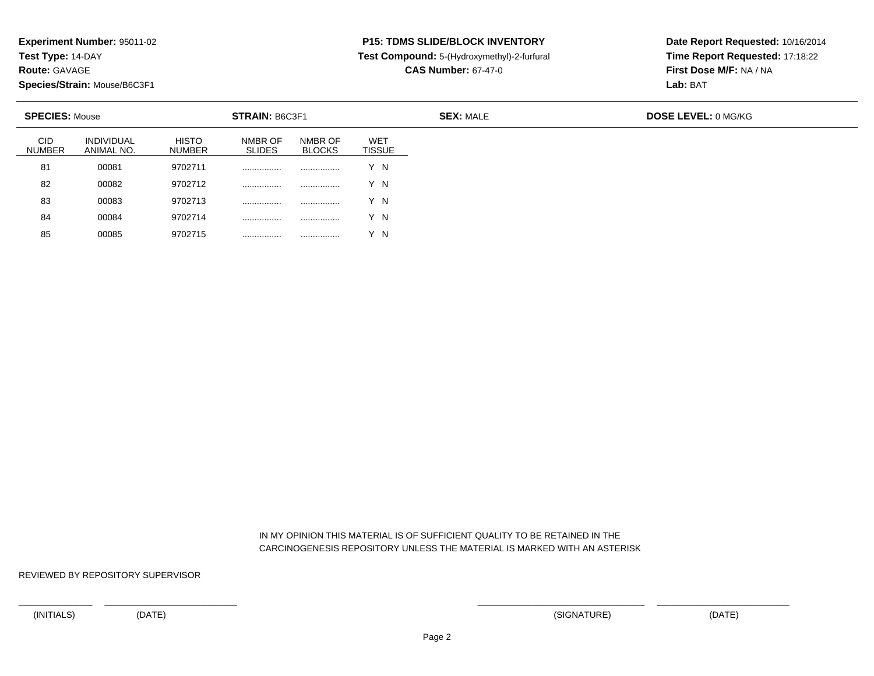**Test Type:** 14-DAY

**Route:** GAVAGE

85

**Species/Strain:** Mouse/B6C3F1

<sup>00085</sup> <sup>9702715</sup> ................ ................ Y N

## **P15: TDMS SLIDE/BLOCK INVENTORY**

**Test Compound:** 5-(Hydroxymethyl)-2-furfural

**CAS Number:** 67-47-0

**Date Report Requested:** 10/16/2014**Time Report Requested:** 17:18:22**First Dose M/F:** NA / NA**Lab:** BAT

| <b>SPECIES: Mouse</b>       |                          |                        | STRAIN: B6C3F1           |                          |                             |  |  |
|-----------------------------|--------------------------|------------------------|--------------------------|--------------------------|-----------------------------|--|--|
| <b>CID</b><br><b>NUMBER</b> | INDIVIDUAL<br>ANIMAL NO. | <b>HISTO</b><br>NUMBER | NMBR OF<br><b>SLIDES</b> | NMBR OF<br><b>BLOCKS</b> | <b>WET</b><br><b>TISSUE</b> |  |  |
| 81                          | 00081                    | 9702711                | .                        | .                        | Y N                         |  |  |
| 82                          | 00082                    | 9702712                | .                        | .                        | Y N                         |  |  |
| 83                          | 00083                    | 9702713                | .                        |                          | Y N                         |  |  |
| 84                          | 00084                    | 9702714                | .                        |                          | ΄ Ν                         |  |  |

 IN MY OPINION THIS MATERIAL IS OF SUFFICIENT QUALITY TO BE RETAINED IN THECARCINOGENESIS REPOSITORY UNLESS THE MATERIAL IS MARKED WITH AN ASTERISK

REVIEWED BY REPOSITORY SUPERVISOR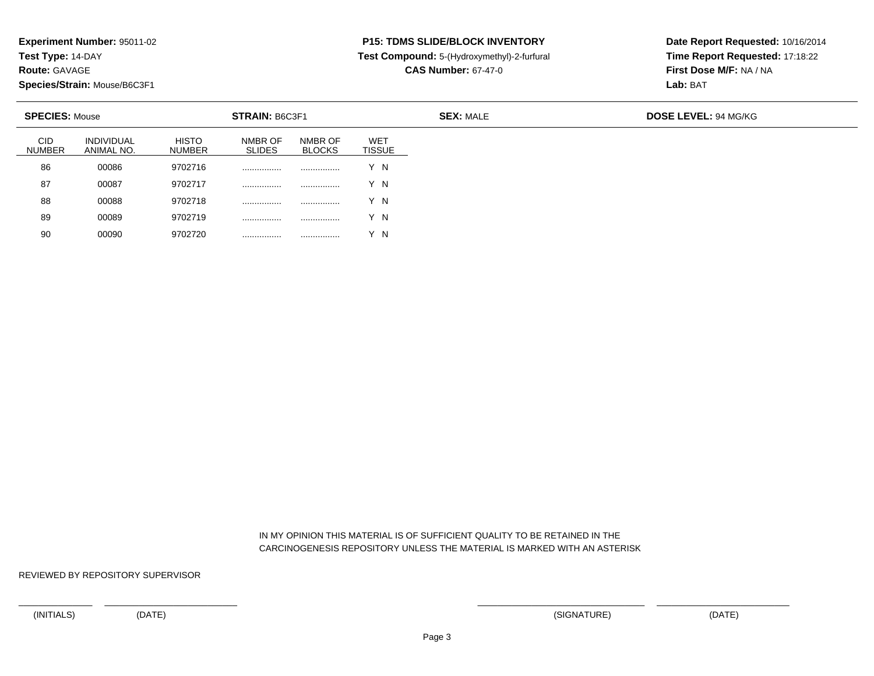**Test Type:** 14-DAY

**Route:** GAVAGE

90

**Species/Strain:** Mouse/B6C3F1

<sup>00090</sup> <sup>9702720</sup> ................ ................ Y N

### **P15: TDMS SLIDE/BLOCK INVENTORY**

**Test Compound:** 5-(Hydroxymethyl)-2-furfural

**CAS Number:** 67-47-0

**Date Report Requested:** 10/16/2014**Time Report Requested:** 17:18:22**First Dose M/F:** NA / NA**Lab:** BAT

|                             |                                 | <b>STRAIN: B6C3F1</b><br><b>SPECIES: Mouse</b> |                          |                          |                             |
|-----------------------------|---------------------------------|------------------------------------------------|--------------------------|--------------------------|-----------------------------|
| <b>CID</b><br><b>NUMBER</b> | <b>INDIVIDUAL</b><br>ANIMAL NO. | <b>HISTO</b><br><b>NUMBER</b>                  | NMBR OF<br><b>SLIDES</b> | NMBR OF<br><b>BLOCKS</b> | <b>WET</b><br><b>TISSUE</b> |
| 86                          | 00086                           | 9702716                                        | .                        | .                        | Y N                         |
| 87                          | 00087                           | 9702717                                        |                          |                          | Y N                         |
| 88                          | 00088                           | 9702718                                        | .                        | .                        | Y N                         |
| 89                          | 00089                           | 9702719                                        |                          | .                        | 'N                          |

 IN MY OPINION THIS MATERIAL IS OF SUFFICIENT QUALITY TO BE RETAINED IN THECARCINOGENESIS REPOSITORY UNLESS THE MATERIAL IS MARKED WITH AN ASTERISK

REVIEWED BY REPOSITORY SUPERVISOR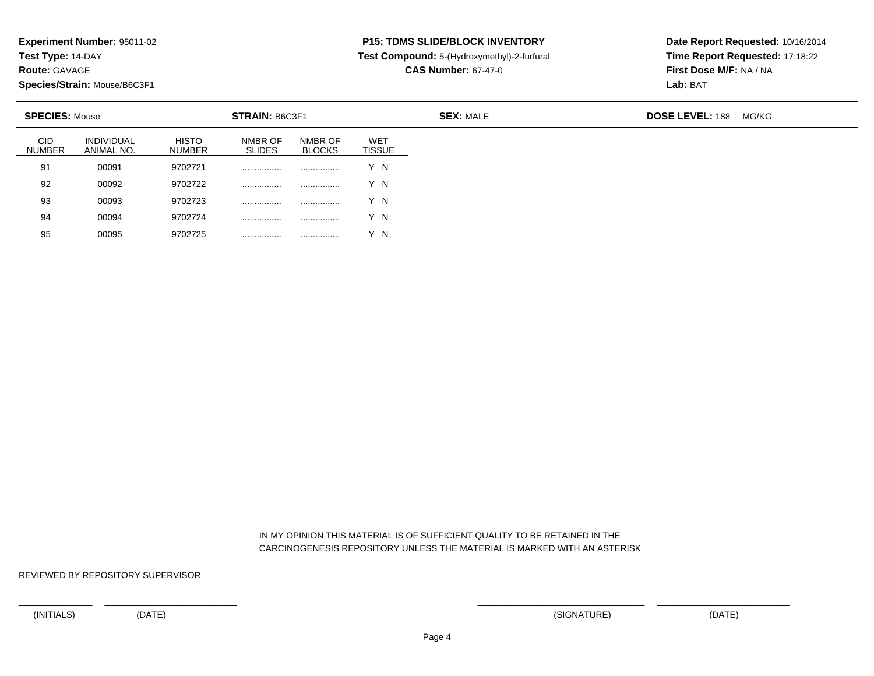**Test Type:** 14-DAY

**Route:** GAVAGE

95

**Species/Strain:** Mouse/B6C3F1

<sup>00095</sup> <sup>9702725</sup> ................ ................ Y N

## **P15: TDMS SLIDE/BLOCK INVENTORY**

**Test Compound:** 5-(Hydroxymethyl)-2-furfural

**CAS Number:** 67-47-0

**Date Report Requested:** 10/16/2014**Time Report Requested:** 17:18:22**First Dose M/F:** NA / NA**Lab:** BAT

| <b>STRAIN: B6C3F1</b><br><b>SPECIES: Mouse</b> |                                 |                               |                          | <b>SEX: MALE</b>         |                      |  | <b>DOSE LEVEL: 188</b> | MG/KG |
|------------------------------------------------|---------------------------------|-------------------------------|--------------------------|--------------------------|----------------------|--|------------------------|-------|
| <b>CID</b><br><b>NUMBER</b>                    | <b>INDIVIDUAL</b><br>ANIMAL NO. | <b>HISTO</b><br><b>NUMBER</b> | NMBR OF<br><b>SLIDES</b> | NMBR OF<br><b>BLOCKS</b> | <b>WET</b><br>TISSUE |  |                        |       |
| 91                                             | 00091                           | 9702721                       |                          |                          | Y N                  |  |                        |       |
| 92                                             | 00092                           | 9702722                       |                          |                          | Y N                  |  |                        |       |
| 93                                             | 00093                           | 9702723                       | .                        | .                        | Y N                  |  |                        |       |
| 94                                             | 00094                           | 9702724                       | .                        |                          | V N                  |  |                        |       |

 IN MY OPINION THIS MATERIAL IS OF SUFFICIENT QUALITY TO BE RETAINED IN THECARCINOGENESIS REPOSITORY UNLESS THE MATERIAL IS MARKED WITH AN ASTERISK

REVIEWED BY REPOSITORY SUPERVISOR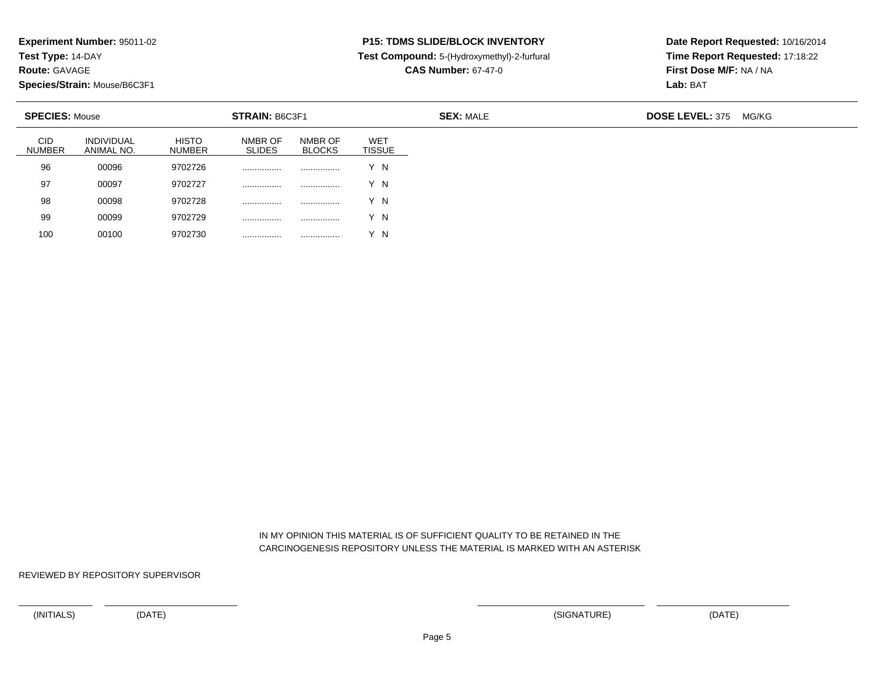**Test Type:** 14-DAY

**Route:** GAVAGE

100

**Species/Strain:** Mouse/B6C3F1

<sup>00100</sup> <sup>9702730</sup> ................ ................ Y N

## **P15: TDMS SLIDE/BLOCK INVENTORY**

**Test Compound:** 5-(Hydroxymethyl)-2-furfural

**CAS Number:** 67-47-0

**Date Report Requested:** 10/16/2014**Time Report Requested:** 17:18:22**First Dose M/F:** NA / NA**Lab:** BAT

| <b>SPECIES: Mouse</b>       |                                 |                               | STRAIN: B6C3F1           |                          |                      | <b>SEX: MALE</b> | <b>DOSE LEVEL: 375</b> | MG/KG |
|-----------------------------|---------------------------------|-------------------------------|--------------------------|--------------------------|----------------------|------------------|------------------------|-------|
| <b>CID</b><br><b>NUMBER</b> | <b>INDIVIDUAL</b><br>ANIMAL NO. | <b>HISTO</b><br><b>NUMBER</b> | NMBR OF<br><b>SLIDES</b> | NMBR OF<br><b>BLOCKS</b> | WET<br><b>TISSUE</b> |                  |                        |       |
| 96                          | 00096                           | 9702726                       | .                        |                          | Y N                  |                  |                        |       |
| 97                          | 00097                           | 9702727                       | .                        |                          | Y N                  |                  |                        |       |
| 98                          | 00098                           | 9702728                       | .                        |                          | Y N                  |                  |                        |       |
| 99                          | 00099                           | 9702729                       | .                        |                          | Y N                  |                  |                        |       |

 IN MY OPINION THIS MATERIAL IS OF SUFFICIENT QUALITY TO BE RETAINED IN THECARCINOGENESIS REPOSITORY UNLESS THE MATERIAL IS MARKED WITH AN ASTERISK

REVIEWED BY REPOSITORY SUPERVISOR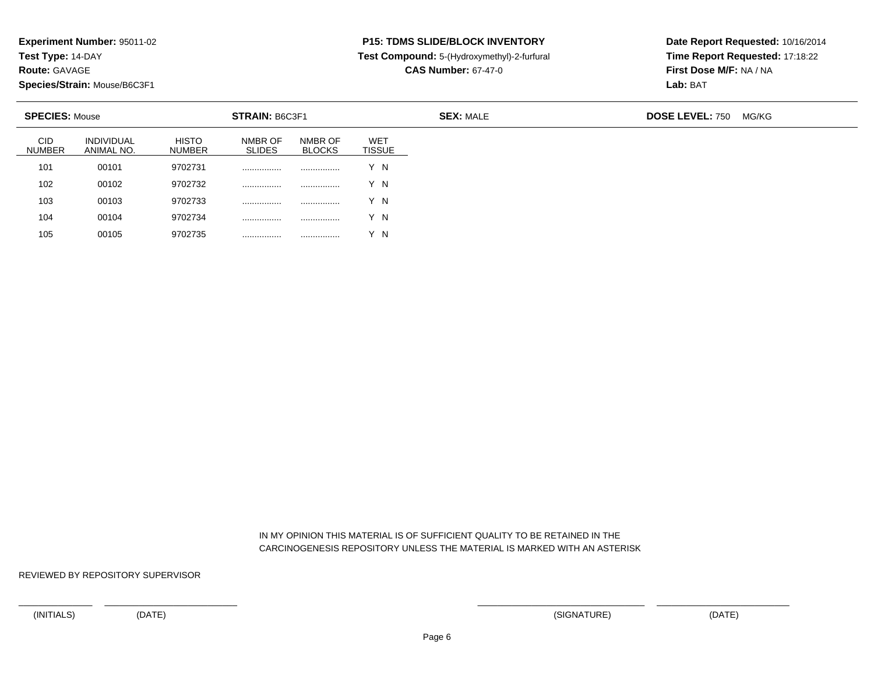**Test Type:** 14-DAY

**Route:** GAVAGE

105

**Species/Strain:** Mouse/B6C3F1

<sup>00105</sup> <sup>9702735</sup> ................ ................ Y N

### **P15: TDMS SLIDE/BLOCK INVENTORY**

**Test Compound:** 5-(Hydroxymethyl)-2-furfural

**CAS Number:** 67-47-0

**Date Report Requested:** 10/16/2014**Time Report Requested:** 17:18:22**First Dose M/F:** NA / NA**Lab:** BAT

| <b>SPECIES: Mouse</b>       |                                 |                               | STRAIN: B6C3F1           |                          |                             | <b>SEX: MALE</b> | <b>DOSE LEVEL: 750</b> | MG/KG |
|-----------------------------|---------------------------------|-------------------------------|--------------------------|--------------------------|-----------------------------|------------------|------------------------|-------|
| <b>CID</b><br><b>NUMBER</b> | <b>INDIVIDUAL</b><br>ANIMAL NO. | <b>HISTO</b><br><b>NUMBER</b> | NMBR OF<br><b>SLIDES</b> | NMBR OF<br><b>BLOCKS</b> | <b>WET</b><br><b>TISSUE</b> |                  |                        |       |
| 101                         | 00101                           | 9702731                       |                          |                          | Y N                         |                  |                        |       |
| 102                         | 00102                           | 9702732                       |                          |                          | Y N                         |                  |                        |       |
| 103                         | 00103                           | 9702733                       |                          |                          | Y N                         |                  |                        |       |
| 104                         | 00104                           | 9702734                       |                          | .                        | Y N                         |                  |                        |       |

 IN MY OPINION THIS MATERIAL IS OF SUFFICIENT QUALITY TO BE RETAINED IN THECARCINOGENESIS REPOSITORY UNLESS THE MATERIAL IS MARKED WITH AN ASTERISK

REVIEWED BY REPOSITORY SUPERVISOR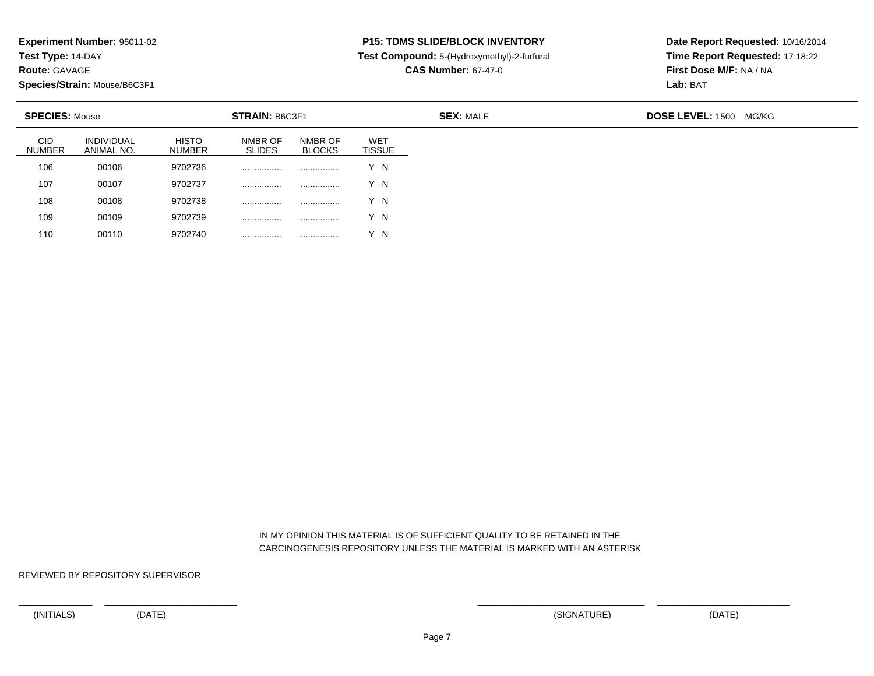**Test Type:** 14-DAY

**Route:** GAVAGE

110

**Species/Strain:** Mouse/B6C3F1

<sup>00110</sup> <sup>9702740</sup> ................ ................ Y N

## **P15: TDMS SLIDE/BLOCK INVENTORY**

**Test Compound:** 5-(Hydroxymethyl)-2-furfural

**CAS Number:** 67-47-0

**Date Report Requested:** 10/16/2014**Time Report Requested:** 17:18:22**First Dose M/F:** NA / NA**Lab:** BAT

| <b>SPECIES: Mouse</b>       |                                 |                               | <b>STRAIN: B6C3F1</b>    |                          |                                  | <b>SEX: MALE</b> | <b>DOSE LEVEL: 1500 MG/KG</b> |
|-----------------------------|---------------------------------|-------------------------------|--------------------------|--------------------------|----------------------------------|------------------|-------------------------------|
| <b>CID</b><br><b>NUMBER</b> | <b>INDIVIDUAL</b><br>ANIMAL NO. | <b>HISTO</b><br><b>NUMBER</b> | NMBR OF<br><b>SLIDES</b> | NMBR OF<br><b>BLOCKS</b> | WE <sub>1</sub><br><b>TISSUE</b> |                  |                               |
| 106                         | 00106                           | 9702736                       |                          | .                        | Y N                              |                  |                               |
| 107                         | 00107                           | 9702737                       | .                        | .                        | Y N                              |                  |                               |
| 108                         | 00108                           | 9702738                       |                          | .                        | Y N                              |                  |                               |
| 109                         | 00109                           | 9702739                       | .                        | .                        | Y N                              |                  |                               |

 IN MY OPINION THIS MATERIAL IS OF SUFFICIENT QUALITY TO BE RETAINED IN THECARCINOGENESIS REPOSITORY UNLESS THE MATERIAL IS MARKED WITH AN ASTERISK

REVIEWED BY REPOSITORY SUPERVISOR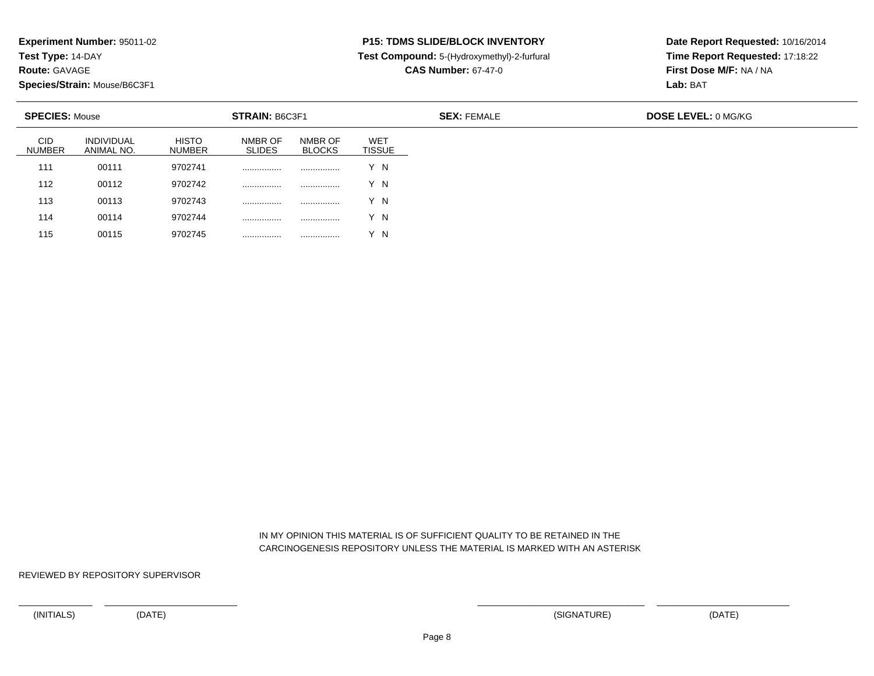**Test Type:** 14-DAY

**Route:** GAVAGE

115

**Species/Strain:** Mouse/B6C3F1

<sup>00115</sup> <sup>9702745</sup> ................ ................ Y N

# **P15: TDMS SLIDE/BLOCK INVENTORY**

**Test Compound:** 5-(Hydroxymethyl)-2-furfural

**CAS Number:** 67-47-0

**Date Report Requested:** 10/16/2014**Time Report Requested:** 17:18:22**First Dose M/F:** NA / NA**Lab:** BAT

| <b>SPECIES: Mouse</b>       |                                 |                               | STRAIN: B6C3F1           |                          |                             |  |  |
|-----------------------------|---------------------------------|-------------------------------|--------------------------|--------------------------|-----------------------------|--|--|
| <b>CID</b><br><b>NUMBER</b> | <b>INDIVIDUAL</b><br>ANIMAL NO. | <b>HISTO</b><br><b>NUMBER</b> | NMBR OF<br><b>SLIDES</b> | NMBR OF<br><b>BLOCKS</b> | <b>WET</b><br><b>TISSUE</b> |  |  |
| 111                         | 00111                           | 9702741                       |                          |                          | Y N                         |  |  |
| 112                         | 00112                           | 9702742                       |                          | .                        | Y N                         |  |  |
| 113                         | 00113                           | 9702743                       | .                        |                          | Y N                         |  |  |
| 114                         | 00114                           | 9702744                       |                          |                          | Y N                         |  |  |

 IN MY OPINION THIS MATERIAL IS OF SUFFICIENT QUALITY TO BE RETAINED IN THECARCINOGENESIS REPOSITORY UNLESS THE MATERIAL IS MARKED WITH AN ASTERISK

REVIEWED BY REPOSITORY SUPERVISOR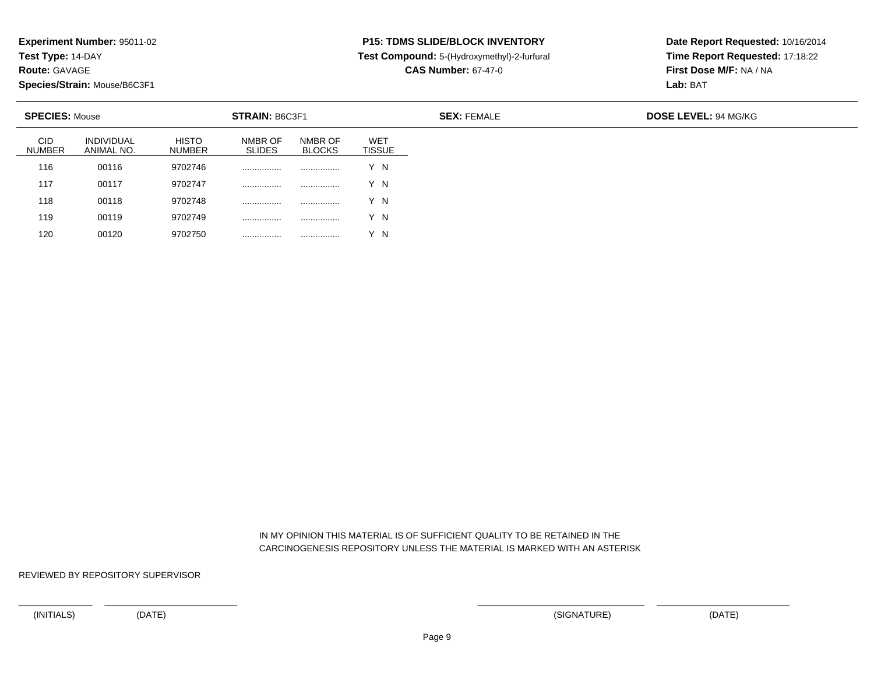**Test Type:** 14-DAY

**Route:** GAVAGE

120

**Species/Strain:** Mouse/B6C3F1

<sup>00120</sup> <sup>9702750</sup> ................ ................ Y N

# **P15: TDMS SLIDE/BLOCK INVENTORY**

**Test Compound:** 5-(Hydroxymethyl)-2-furfural

**CAS Number:** 67-47-0

**Date Report Requested:** 10/16/2014**Time Report Requested:** 17:18:22**First Dose M/F:** NA / NA**Lab:** BAT

| <b>SPECIES: Mouse</b>       |                                 |                        | <b>STRAIN: B6C3F1</b>    |                          |                             |  |  |
|-----------------------------|---------------------------------|------------------------|--------------------------|--------------------------|-----------------------------|--|--|
| <b>CID</b><br><b>NUMBER</b> | <b>INDIVIDUAL</b><br>ANIMAL NO. | <b>HISTO</b><br>NUMBER | NMBR OF<br><b>SLIDES</b> | NMBR OF<br><b>BLOCKS</b> | <b>WET</b><br><b>TISSUE</b> |  |  |
| 116                         | 00116                           | 9702746                | .                        | .                        | Y N                         |  |  |
| 117                         | 00117                           | 9702747                | .                        |                          | Y N                         |  |  |
| 118                         | 00118                           | 9702748                | .                        |                          | Y N                         |  |  |
| 119                         | 00119                           | 9702749                | .                        |                          | Y N                         |  |  |

 IN MY OPINION THIS MATERIAL IS OF SUFFICIENT QUALITY TO BE RETAINED IN THECARCINOGENESIS REPOSITORY UNLESS THE MATERIAL IS MARKED WITH AN ASTERISK

REVIEWED BY REPOSITORY SUPERVISOR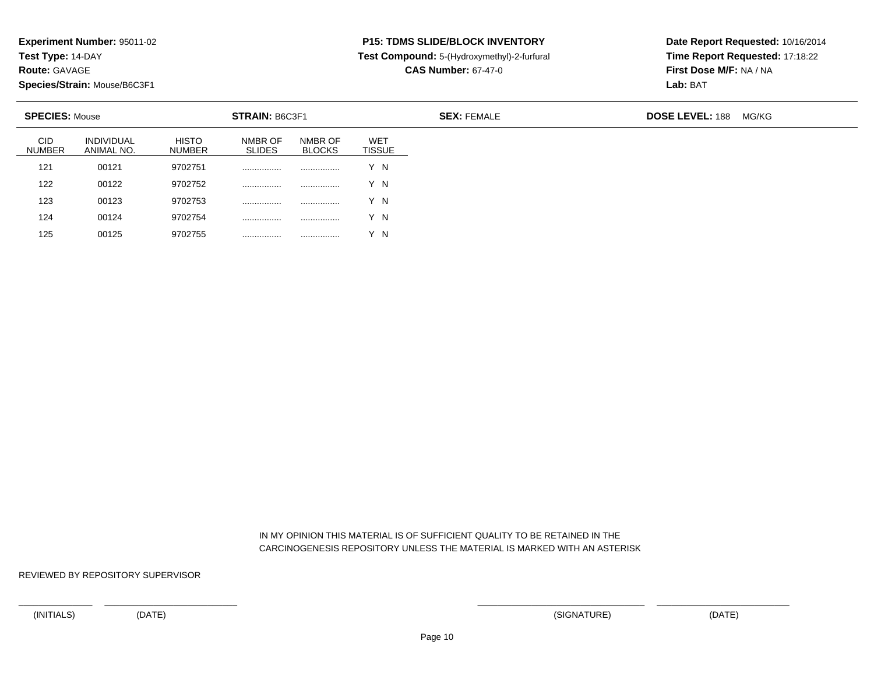**Test Type:** 14-DAY

**Route:** GAVAGE

125

**Species/Strain:** Mouse/B6C3F1

<sup>00125</sup> <sup>9702755</sup> ................ ................ Y N

## **P15: TDMS SLIDE/BLOCK INVENTORY**

**Test Compound:** 5-(Hydroxymethyl)-2-furfural

**CAS Number:** 67-47-0

**Date Report Requested:** 10/16/2014**Time Report Requested:** 17:18:22**First Dose M/F:** NA / NA**Lab:** BAT

| <b>SPECIES: Mouse</b>       |                                 |                               | STRAIN: B6C3F1           |                          |                             | <b>SEX: FEMALE</b> | <b>DOSE LEVEL: 188</b><br>MG/KG |
|-----------------------------|---------------------------------|-------------------------------|--------------------------|--------------------------|-----------------------------|--------------------|---------------------------------|
| <b>CID</b><br><b>NUMBER</b> | <b>INDIVIDUAL</b><br>ANIMAL NO. | <b>HISTO</b><br><b>NUMBER</b> | NMBR OF<br><b>SLIDES</b> | NMBR OF<br><b>BLOCKS</b> | <b>WET</b><br><b>TISSUE</b> |                    |                                 |
| 121                         | 00121                           | 9702751                       |                          | .                        | Y N                         |                    |                                 |
| 122                         | 00122                           | 9702752                       |                          |                          | Y N                         |                    |                                 |
| 123                         | 00123                           | 9702753                       |                          | .                        | Y N                         |                    |                                 |
| 124                         | 00124                           | 9702754                       |                          | .                        | Y N                         |                    |                                 |

 IN MY OPINION THIS MATERIAL IS OF SUFFICIENT QUALITY TO BE RETAINED IN THECARCINOGENESIS REPOSITORY UNLESS THE MATERIAL IS MARKED WITH AN ASTERISK

REVIEWED BY REPOSITORY SUPERVISOR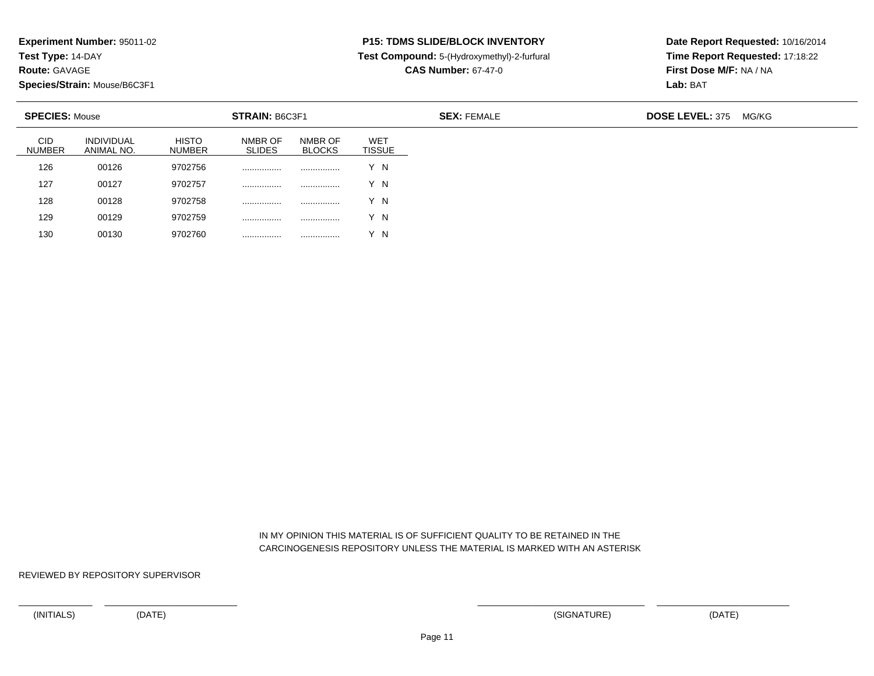**Test Type:** 14-DAY

**Route:** GAVAGE

130

**Species/Strain:** Mouse/B6C3F1

<sup>00130</sup> <sup>9702760</sup> ................ ................ Y N

## **P15: TDMS SLIDE/BLOCK INVENTORY**

**Test Compound:** 5-(Hydroxymethyl)-2-furfural

**CAS Number:** 67-47-0

**Date Report Requested:** 10/16/2014**Time Report Requested:** 17:18:22**First Dose M/F:** NA / NA**Lab:** BAT

| <b>SPECIES: Mouse</b>       |                                 |                               | STRAIN: B6C3F1           |                          |                             | <b>SEX: FEMALE</b> | <b>DOSE LEVEL: 375</b><br>MG/KG |
|-----------------------------|---------------------------------|-------------------------------|--------------------------|--------------------------|-----------------------------|--------------------|---------------------------------|
| <b>CID</b><br><b>NUMBER</b> | <b>INDIVIDUAL</b><br>ANIMAL NO. | <b>HISTO</b><br><b>NUMBER</b> | NMBR OF<br><b>SLIDES</b> | NMBR OF<br><b>BLOCKS</b> | <b>WET</b><br><b>TISSUE</b> |                    |                                 |
| 126                         | 00126                           | 9702756                       |                          | .                        | Y N                         |                    |                                 |
| 127                         | 00127                           | 9702757                       |                          | .                        | Y N                         |                    |                                 |
| 128                         | 00128                           | 9702758                       | .                        | .                        | Y N                         |                    |                                 |
| 129                         | 00129                           | 9702759                       | .                        | .                        | Y N                         |                    |                                 |

 IN MY OPINION THIS MATERIAL IS OF SUFFICIENT QUALITY TO BE RETAINED IN THECARCINOGENESIS REPOSITORY UNLESS THE MATERIAL IS MARKED WITH AN ASTERISK

REVIEWED BY REPOSITORY SUPERVISOR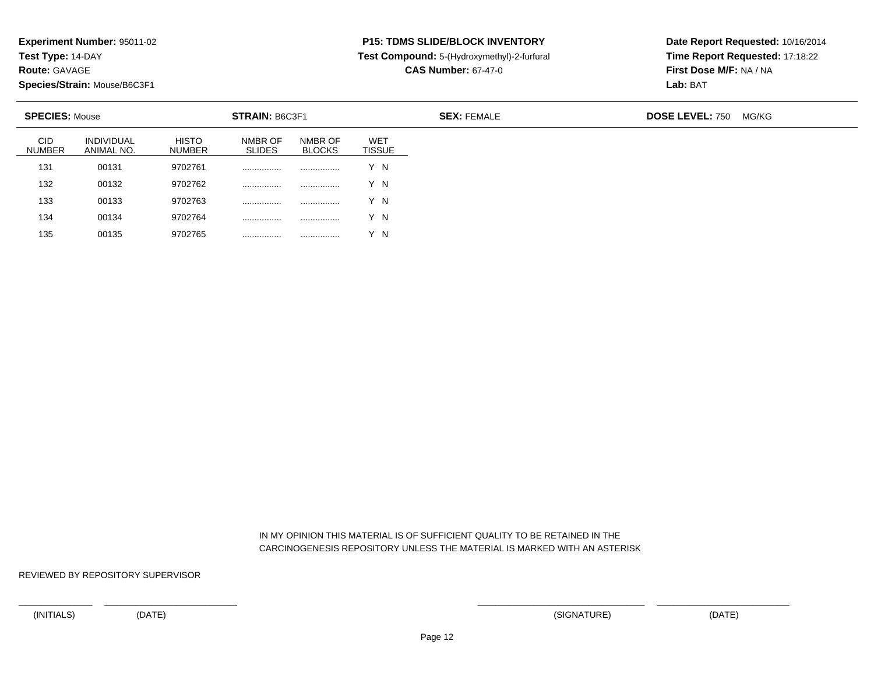**Test Type:** 14-DAY

**Route:** GAVAGE

135

**Species/Strain:** Mouse/B6C3F1

<sup>00135</sup> <sup>9702765</sup> ................ ................ Y N

## **P15: TDMS SLIDE/BLOCK INVENTORY**

**Test Compound:** 5-(Hydroxymethyl)-2-furfural

**CAS Number:** 67-47-0

**Date Report Requested:** 10/16/2014**Time Report Requested:** 17:18:22**First Dose M/F:** NA / NA**Lab:** BAT

| <b>SPECIES: Mouse</b>       |                                 |                               | STRAIN: B6C3F1           |                          |                             | <b>SEX: FEMALE</b> | <b>DOSE LEVEL: 750</b> | MG/KG |
|-----------------------------|---------------------------------|-------------------------------|--------------------------|--------------------------|-----------------------------|--------------------|------------------------|-------|
| <b>CID</b><br><b>NUMBER</b> | <b>INDIVIDUAL</b><br>ANIMAL NO. | <b>HISTO</b><br><b>NUMBER</b> | NMBR OF<br><b>SLIDES</b> | NMBR OF<br><b>BLOCKS</b> | <b>WET</b><br><b>TISSUE</b> |                    |                        |       |
| 131                         | 00131                           | 9702761                       |                          | .                        | Y N                         |                    |                        |       |
| 132                         | 00132                           | 9702762                       | .                        | .                        | Y N                         |                    |                        |       |
| 133                         | 00133                           | 9702763                       | .                        |                          | Y N                         |                    |                        |       |
| 134                         | 00134                           | 9702764                       | .                        | .                        | Y N                         |                    |                        |       |

 IN MY OPINION THIS MATERIAL IS OF SUFFICIENT QUALITY TO BE RETAINED IN THECARCINOGENESIS REPOSITORY UNLESS THE MATERIAL IS MARKED WITH AN ASTERISK

REVIEWED BY REPOSITORY SUPERVISOR